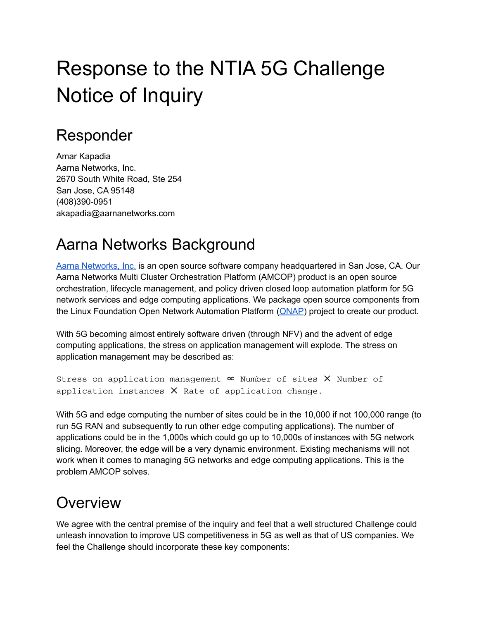# Response to the NTIA 5G Challenge Notice of Inquiry

### Responder

Amar Kapadia Aarna Networks, Inc. 2670 South White Road, Ste 254 San Jose, CA 95148 (408)390-0951 akapadia@aarnanetworks.com

## Aarna Networks Background

Aarna [Networks,](http://aarnanetworks.com) Inc. is an open source software company headquartered in San Jose, CA. Our Aarna Networks Multi Cluster Orchestration Platform (AMCOP) product is an open source orchestration, lifecycle management, and policy driven closed loop automation platform for 5G network services and edge computing applications. We package open source components from the Linux Foundation Open Network Automation Platform [\(ONAP](http://onap.org)) project to create our product.

With 5G becoming almost entirely software driven (through NFV) and the advent of edge computing applications, the stress on application management will explode. The stress on application management may be described as:

```
Stress on application management \propto Number of sites \times Number of
application instances X Rate of application change.
```
With 5G and edge computing the number of sites could be in the 10,000 if not 100,000 range (to run 5G RAN and subsequently to run other edge computing applications). The number of applications could be in the 1,000s which could go up to 10,000s of instances with 5G network slicing. Moreover, the edge will be a very dynamic environment. Existing mechanisms will not work when it comes to managing 5G networks and edge computing applications. This is the problem AMCOP solves.

#### **Overview**

We agree with the central premise of the inquiry and feel that a well structured Challenge could unleash innovation to improve US competitiveness in 5G as well as that of US companies. We feel the Challenge should incorporate these key components: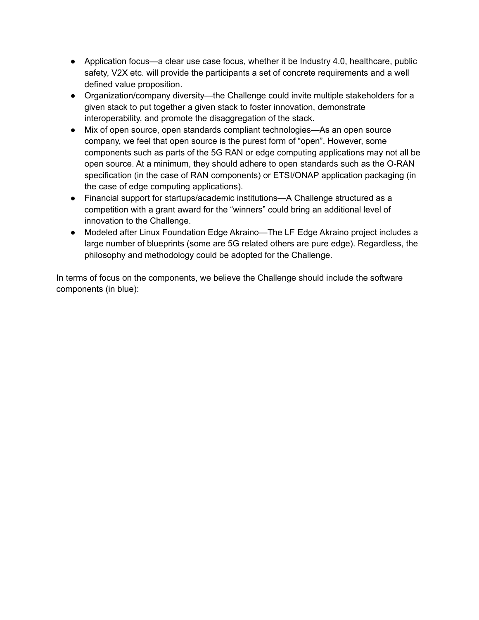- Application focus—a clear use case focus, whether it be Industry 4.0, healthcare, public safety, V2X etc. will provide the participants a set of concrete requirements and a well defined value proposition.
- Organization/company diversity—the Challenge could invite multiple stakeholders for a given stack to put together a given stack to foster innovation, demonstrate interoperability, and promote the disaggregation of the stack.
- Mix of open source, open standards compliant technologies—As an open source company, we feel that open source is the purest form of "open". However, some components such as parts of the 5G RAN or edge computing applications may not all be open source. At a minimum, they should adhere to open standards such as the O-RAN specification (in the case of RAN components) or ETSI/ONAP application packaging (in the case of edge computing applications).
- Financial support for startups/academic institutions—A Challenge structured as a competition with a grant award for the "winners" could bring an additional level of innovation to the Challenge.
- Modeled after Linux Foundation Edge Akraino—The LF Edge Akraino project includes a large number of blueprints (some are 5G related others are pure edge). Regardless, the philosophy and methodology could be adopted for the Challenge.

In terms of focus on the components, we believe the Challenge should include the software components (in blue):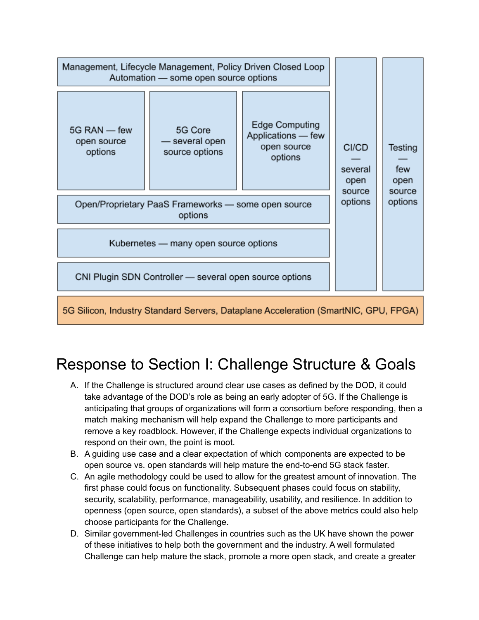| Management, Lifecycle Management, Policy Driven Closed Loop<br>Automation - some open source options |                                             |                                                                       |                                    |                                  |  |
|------------------------------------------------------------------------------------------------------|---------------------------------------------|-----------------------------------------------------------------------|------------------------------------|----------------------------------|--|
| 5G RAN - few<br>open source<br>options                                                               | 5G Core<br>- several open<br>source options | <b>Edge Computing</b><br>Applications - few<br>open source<br>options | CI/CD<br>several<br>open<br>source | Testing<br>few<br>open<br>source |  |
| Open/Proprietary PaaS Frameworks - some open source                                                  | options                                     | options                                                               |                                    |                                  |  |
| Kubernetes - many open source options                                                                |                                             |                                                                       |                                    |                                  |  |
| CNI Plugin SDN Controller - several open source options                                              |                                             |                                                                       |                                    |                                  |  |
| 5G Silicon, Industry Standard Servers, Dataplane Acceleration (SmartNIC, GPU, FPGA)                  |                                             |                                                                       |                                    |                                  |  |

# Response to Section I: Challenge Structure & Goals

- A. If the Challenge is structured around clear use cases as defined by the DOD, it could take advantage of the DOD's role as being an early adopter of 5G. If the Challenge is anticipating that groups of organizations will form a consortium before responding, then a match making mechanism will help expand the Challenge to more participants and remove a key roadblock. However, if the Challenge expects individual organizations to respond on their own, the point is moot.
- B. A guiding use case and a clear expectation of which components are expected to be open source vs. open standards will help mature the end-to-end 5G stack faster.
- C. An agile methodology could be used to allow for the greatest amount of innovation. The first phase could focus on functionality. Subsequent phases could focus on stability, security, scalability, performance, manageability, usability, and resilience. In addition to openness (open source, open standards), a subset of the above metrics could also help choose participants for the Challenge.
- D. Similar government-led Challenges in countries such as the UK have shown the power of these initiatives to help both the government and the industry. A well formulated Challenge can help mature the stack, promote a more open stack, and create a greater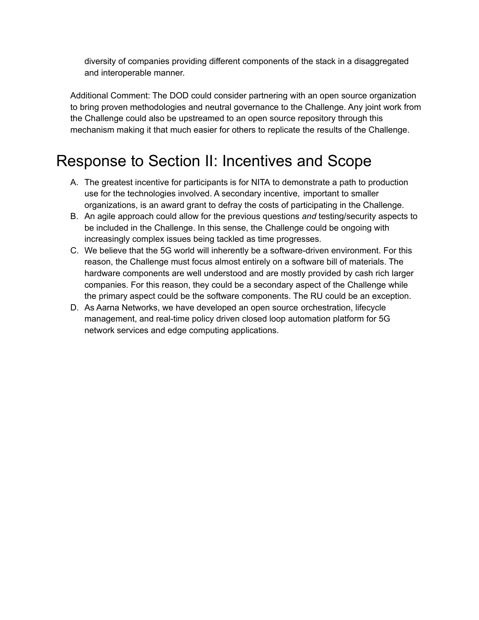diversity of companies providing different components of the stack in a disaggregated and interoperable manner.

Additional Comment: The DOD could consider partnering with an open source organization to bring proven methodologies and neutral governance to the Challenge. Any joint work from the Challenge could also be upstreamed to an open source repository through this mechanism making it that much easier for others to replicate the results of the Challenge.

# Response to Section II: Incentives and Scope

- A. The greatest incentive for participants is for NITA to demonstrate a path to production use for the technologies involved. A secondary incentive, important to smaller organizations, is an award grant to defray the costs of participating in the Challenge.
- B. An agile approach could allow for the previous questions *and* testing/security aspects to be included in the Challenge. In this sense, the Challenge could be ongoing with increasingly complex issues being tackled as time progresses.
- C. We believe that the 5G world will inherently be a software-driven environment. For this reason, the Challenge must focus almost entirely on a software bill of materials. The hardware components are well understood and are mostly provided by cash rich larger companies. For this reason, they could be a secondary aspect of the Challenge while the primary aspect could be the software components. The RU could be an exception.
- D. As Aarna Networks, we have developed an open source orchestration, lifecycle management, and real-time policy driven closed loop automation platform for 5G network services and edge computing applications.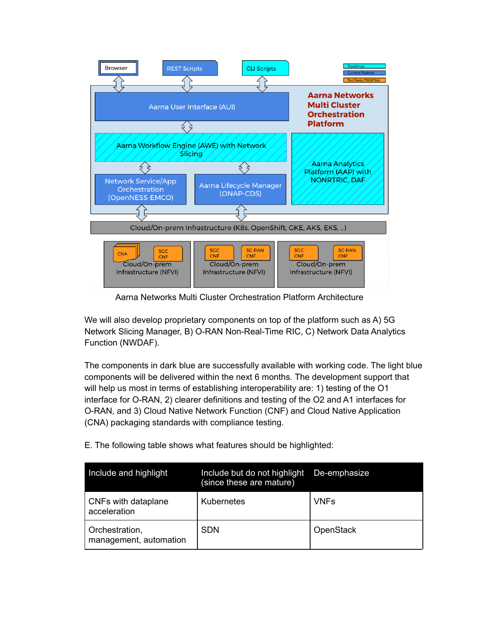

Aarna Networks Multi Cluster Orchestration Platform Architecture

We will also develop proprietary components on top of the platform such as A) 5G Network Slicing Manager, B) O-RAN Non-Real-Time RIC, C) Network Data Analytics Function (NWDAF).

The components in dark blue are successfully available with working code. The light blue components will be delivered within the next 6 months. The development support that will help us most in terms of establishing interoperability are: 1) testing of the O1 interface for O-RAN, 2) clearer definitions and testing of the O2 and A1 interfaces for O-RAN, and 3) Cloud Native Network Function (CNF) and Cloud Native Application (CNA) packaging standards with compliance testing.

E. The following table shows what features should be highlighted:

| Include and highlight                    | Include but do not highlight<br>(since these are mature) | De-emphasize |
|------------------------------------------|----------------------------------------------------------|--------------|
| CNFs with dataplane<br>acceleration      | Kubernetes                                               | <b>VNFs</b>  |
| Orchestration,<br>management, automation | <b>SDN</b>                                               | OpenStack    |